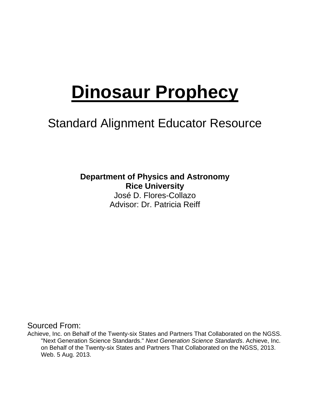# **Dinosaur Prophecy**

## Standard Alignment Educator Resource

**Department of Physics and Astronomy Rice University** 

José D. Flores-Collazo Advisor: Dr. Patricia Reiff

Sourced From:

Achieve, Inc. on Behalf of the Twenty-six States and Partners That Collaborated on the NGSS. "Next Generation Science Standards." *Next Generation Science Standards*. Achieve, Inc. on Behalf of the Twenty-six States and Partners That Collaborated on the NGSS, 2013. Web. 5 Aug. 2013.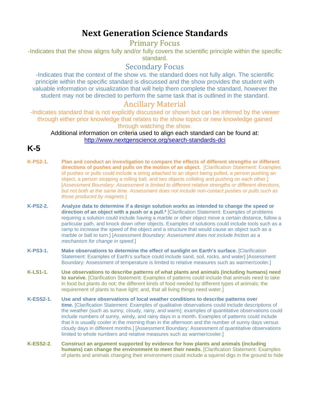### **Next Generation Science Standards**

Primary Focus 

-Indicates that the show aligns fully and/or fully covers the scientific principle within the specific standard.

#### **Secondary Focus**

-Indicates that the context of the show vs. the standard does not fully align. The scientific principle within the specific standard is discussed and the show provides the student with valuable information or visualization that will help them complete the standard, however the student may not be directed to perform the same task that is outlined in the standard.

#### Ancillary Material

-Indicates standard that is not explicitly discussed or shown but can be inferred by the viewer through either prior knowledge that relates to the show topics or new knowledge gained through watching the show.

Additional information on criteria used to align each standard can be found at: http://www.nextgenscience.org/search-standards-dci

#### **K-5**

- **K-PS2-1. Plan and conduct an investigation to compare the effects of different strengths or different directions of pushes and pulls on the motion of an object.** [Clarification Statement: Examples of pushes or pulls could include a string attached to an object being pulled, a person pushing an object, a person stopping a rolling ball, and two objects colliding and pushing on each other.] [*Assessment Boundary: Assessment is limited to different relative strengths or different directions, but not both at the same time. Assessment does not include non-contact pushes or pulls such as those produced by magnets.*]
- **K-PS2-2. Analyze data to determine if a design solution works as intended to change the speed or direction of an object with a push or a pull.\*** [Clarification Statement: Examples of problems requiring a solution could include having a marble or other object move a certain distance, follow a particular path, and knock down other objects. Examples of solutions could include tools such as a ramp to increase the speed of the object and a structure that would cause an object such as a marble or ball to turn.] [*Assessment Boundary: Assessment does not include friction as a mechanism for change in speed.*]
- **K-PS3-1. Make observations to determine the effect of sunlight on Earth's surface.** [Clarification Statement: Examples of Earth's surface could include sand, soil, rocks, and water] [Assessment Boundary: Assessment of temperature is limited to relative measures such as warmer/cooler.]
- **K-LS1-1. Use observations to describe patterns of what plants and animals (including humans) need to survive.** [Clarification Statement: Examples of patterns could include that animals need to take in food but plants do not; the different kinds of food needed by different types of animals; the requirement of plants to have light; and, that all living things need water.]
- **K-ESS2-1. Use and share observations of local weather conditions to describe patterns over time.** [Clarification Statement: Examples of qualitative observations could include descriptions of the weather (such as sunny, cloudy, rainy, and warm); examples of quantitative observations could include numbers of sunny, windy, and rainy days in a month. Examples of patterns could include that it is usually cooler in the morning than in the afternoon and the number of sunny days versus cloudy days in different months.] [Assessment Boundary: Assessment of quantitative observations limited to whole numbers and relative measures such as warmer/cooler.]
- **K-ESS2-2. Construct an argument supported by evidence for how plants and animals (including humans) can change the environment to meet their needs.** [Clarification Statement: Examples of plants and animals changing their environment could include a squirrel digs in the ground to hide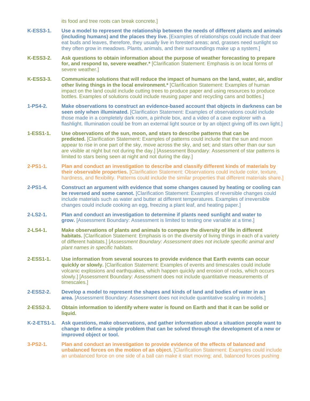its food and tree roots can break concrete.]

- **K-ESS3-1. Use a model to represent the relationship between the needs of different plants and animals (including humans) and the places they live.** [Examples of relationships could include that deer eat buds and leaves, therefore, they usually live in forested areas; and, grasses need sunlight so they often grow in meadows. Plants, animals, and their surroundings make up a system.]
- **K-ESS3-2. Ask questions to obtain information about the purpose of weather forecasting to prepare for, and respond to, severe weather.\*** [Clarification Statement: Emphasis is on local forms of severe weather.]
- **K-ESS3-3. Communicate solutions that will reduce the impact of humans on the land, water, air, and/or other living things in the local environment.\*** [Clarification Statement: Examples of human impact on the land could include cutting trees to produce paper and using resources to produce bottles. Examples of solutions could include reusing paper and recycling cans and bottles.]
- **1-PS4-2. Make observations to construct an evidence-based account that objects in darkness can be seen only when illuminated.** [Clarification Statement: Examples of observations could include those made in a completely dark room, a pinhole box, and a video of a cave explorer with a flashlight. Illumination could be from an external light source or by an object giving off its own light.]
- **1-ESS1-1. Use observations of the sun, moon, and stars to describe patterns that can be predicted.** [Clarification Statement: Examples of patterns could include that the sun and moon appear to rise in one part of the sky, move across the sky, and set; and stars other than our sun are visible at night but not during the day.] [Assessment Boundary: Assessment of star patterns is limited to stars being seen at night and not during the day.]
- **2-PS1-1. Plan and conduct an investigation to describe and classify different kinds of materials by their observable properties.** [Clarification Statement: Observations could include color, texture, hardness, and flexibility. Patterns could include the similar properties that different materials share.]
- **2-PS1-4. Construct an argument with evidence that some changes caused by heating or cooling can be reversed and some cannot.** [Clarification Statement: Examples of reversible changes could include materials such as water and butter at different temperatures. Examples of irreversible changes could include cooking an egg, freezing a plant leaf, and heating paper.]
- **2-LS2-1. Plan and conduct an investigation to determine if plants need sunlight and water to grow.** [Assessment Boundary: Assessment is limited to testing one variable at a time.]
- **2-LS4-1. Make observations of plants and animals to compare the diversity of life in different habitats.** [Clarification Statement: Emphasis is on the diversity of living things in each of a variety of different habitats.] [*Assessment Boundary: Assessment does not include specific animal and plant names in specific habitats.*
- **2-ESS1-1. Use information from several sources to provide evidence that Earth events can occur quickly or slowly.** [Clarification Statement: Examples of events and timescales could include volcanic explosions and earthquakes, which happen quickly and erosion of rocks, which occurs slowly.] [Assessment Boundary: Assessment does not include quantitative measurements of timescales.]
- **2-ESS2-2. Develop a model to represent the shapes and kinds of land and bodies of water in an area.** [Assessment Boundary: Assessment does not include quantitative scaling in models.]
- **2-ESS2-3. Obtain information to identify where water is found on Earth and that it can be solid or liquid.**
- **K-2-ETS1-1. Ask questions, make observations, and gather information about a situation people want to change to define a simple problem that can be solved through the development of a new or improved object or tool.**
- **3-PS2-1. Plan and conduct an investigation to provide evidence of the effects of balanced and unbalanced forces on the motion of an object.** [Clarification Statement: Examples could include an unbalanced force on one side of a ball can make it start moving; and, balanced forces pushing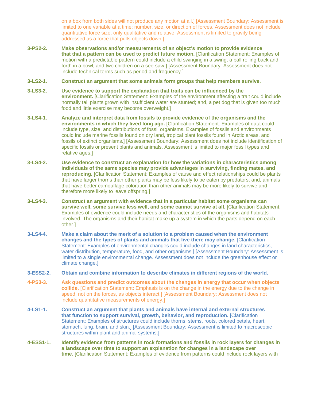on a box from both sides will not produce any motion at all.] [Assessment Boundary: Assessment is limited to one variable at a time: number, size, or direction of forces. Assessment does not include quantitative force size, only qualitative and relative. Assessment is limited to gravity being addressed as a force that pulls objects down.]

- **3-PS2-2. Make observations and/or measurements of an object's motion to provide evidence that that a pattern can be used to predict future motion.** [Clarification Statement: Examples of motion with a predictable pattern could include a child swinging in a swing, a ball rolling back and forth in a bowl, and two children on a see-saw.] [Assessment Boundary: Assessment does not include technical terms such as period and frequency.]
- **3-LS2-1. Construct an argument that some animals form groups that help members survive.**
- **3-LS3-2. Use evidence to support the explanation that traits can be influenced by the environment.** [Clarification Statement: Examples of the environment affecting a trait could include normally tall plants grown with insufficient water are stunted; and, a pet dog that is given too much food and little exercise may become overweight.]
- **3-LS4-1. Analyze and interpret data from fossils to provide evidence of the organisms and the environments in which they lived long ago.** [Clarification Statement: Examples of data could include type, size, and distributions of fossil organisms. Examples of fossils and environments could include marine fossils found on dry land, tropical plant fossils found in Arctic areas, and fossils of extinct organisms.] [Assessment Boundary: Assessment does not include identification of specific fossils or present plants and animals. Assessment is limited to major fossil types and relative ages.]
- **3-LS4-2. Use evidence to construct an explanation for how the variations in characteristics among individuals of the same species may provide advantages in surviving, finding mates, and reproducing.** [Clarification Statement: Examples of cause and effect relationships could be plants that have larger thorns than other plants may be less likely to be eaten by predators; and, animals that have better camouflage coloration than other animals may be more likely to survive and therefore more likely to leave offspring.]
- **3-LS4-3. Construct an argument with evidence that in a particular habitat some organisms can survive well, some survive less well, and some cannot survive at all.** [Clarification Statement: Examples of evidence could include needs and characteristics of the organisms and habitats involved. The organisms and their habitat make up a system in which the parts depend on each other.]
- **3-LS4-4. Make a claim about the merit of a solution to a problem caused when the environment changes and the types of plants and animals that live there may change.** [Clarification Statement: Examples of environmental changes could include changes in land characteristics, water distribution, temperature, food, and other organisms.] [Assessment Boundary: Assessment is limited to a single environmental change. Assessment does not include the greenhouse effect or climate change.]
- **3-ESS2-2. Obtain and combine information to describe climates in different regions of the world.**
- **4-PS3-3. Ask questions and predict outcomes about the changes in energy that occur when objects collide.** [Clarification Statement: Emphasis is on the change in the energy due to the change in speed, not on the forces, as objects interact.] [Assessment Boundary: Assessment does not include quantitative measurements of energy.]
- **4-LS1-1. Construct an argument that plants and animals have internal and external structures that function to support survival, growth, behavior, and reproduction.** [Clarification Statement: Examples of structures could include thorns, stems, roots, colored petals, heart, stomach, lung, brain, and skin.] [Assessment Boundary: Assessment is limited to macroscopic structures within plant and animal systems.]
- **4-ESS1-1. Identify evidence from patterns in rock formations and fossils in rock layers for changes in a landscape over time to support an explanation for changes in a landscape over time.** [Clarification Statement: Examples of evidence from patterns could include rock layers with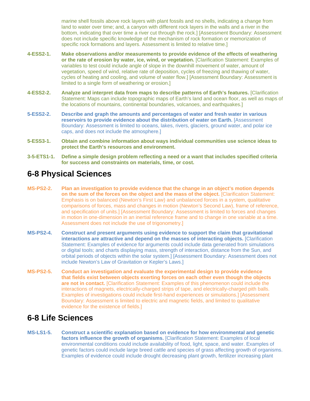marine shell fossils above rock layers with plant fossils and no shells, indicating a change from land to water over time; and, a canyon with different rock layers in the walls and a river in the bottom, indicating that over time a river cut through the rock.] [Assessment Boundary: Assessment does not include specific knowledge of the mechanism of rock formation or memorization of specific rock formations and layers. Assessment is limited to relative time.]

- **4-ESS2-1. Make observations and/or measurements to provide evidence of the effects of weathering or the rate of erosion by water, ice, wind, or vegetation.** [Clarification Statement: Examples of variables to test could include angle of slope in the downhill movement of water, amount of vegetation, speed of wind, relative rate of deposition, cycles of freezing and thawing of water, cycles of heating and cooling, and volume of water flow.] [Assessment Boundary: Assessment is limited to a single form of weathering or erosion.]
- **4-ESS2-2. Analyze and interpret data from maps to describe patterns of Earth's features.** [Clarification Statement: Maps can include topographic maps of Earth's land and ocean floor, as well as maps of the locations of mountains, continental boundaries, volcanoes, and earthquakes.]
- **5-ESS2-2. Describe and graph the amounts and percentages of water and fresh water in various reservoirs to provide evidence about the distribution of water on Earth.** [Assessment Boundary: Assessment is limited to oceans, lakes, rivers, glaciers, ground water, and polar ice caps, and does not include the atmosphere.]
- **5-ESS3-1. Obtain and combine information about ways individual communities use science ideas to protect the Earth's resources and environment.**
- **3-5-ETS1-1. Define a simple design problem reflecting a need or a want that includes specified criteria for success and constraints on materials, time, or cost.**

#### **6-8 Physical Sciences**

- **MS-PS2-2. Plan an investigation to provide evidence that the change in an object's motion depends on the sum of the forces on the object and the mass of the object.** [Clarification Statement: Emphasis is on balanced (Newton's First Law) and unbalanced forces in a system, qualitative comparisons of forces, mass and changes in motion (Newton's Second Law), frame of reference, and specification of units.] [Assessment Boundary: Assessment is limited to forces and changes in motion in one-dimension in an inertial reference frame and to change in one variable at a time. Assessment does not include the use of trigonometry.]
- **MS-PS2-4. Construct and present arguments using evidence to support the claim that gravitational interactions are attractive and depend on the masses of interacting objects.** [Clarification Statement: Examples of evidence for arguments could include data generated from simulations or digital tools; and charts displaying mass, strength of interaction, distance from the Sun, and orbital periods of objects within the solar system.] [Assessment Boundary: Assessment does not include Newton's Law of Gravitation or Kepler's Laws.]
- **MS-PS2-5. Conduct an investigation and evaluate the experimental design to provide evidence that fields exist between objects exerting forces on each other even though the objects are not in contact.** [Clarification Statement: Examples of this phenomenon could include the interactions of magnets, electrically-charged strips of tape, and electrically-charged pith balls. Examples of investigations could include first-hand experiences or simulations.] [Assessment Boundary: Assessment is limited to electric and magnetic fields, and limited to qualitative evidence for the existence of fields.]

#### **6-8 Life Sciences**

**MS-LS1-5. Construct a scientific explanation based on evidence for how environmental and genetic factors influence the growth of organisms.** [Clarification Statement: Examples of local environmental conditions could include availability of food, light, space, and water. Examples of genetic factors could include large breed cattle and species of grass affecting growth of organisms. Examples of evidence could include drought decreasing plant growth, fertilizer increasing plant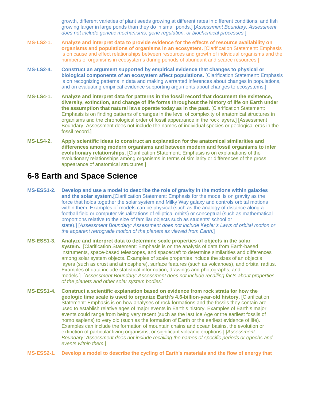growth, different varieties of plant seeds growing at different rates in different conditions, and fish growing larger in large ponds than they do in small ponds.] [*Assessment Boundary: Assessment does not include genetic mechanisms, gene regulation, or biochemical processes.*]

- **MS-LS2-1. Analyze and interpret data to provide evidence for the effects of resource availability on organisms and populations of organisms in an ecosystem.** [Clarification Statement: Emphasis is on cause and effect relationships between resources and growth of individual organisms and the numbers of organisms in ecosystems during periods of abundant and scarce resources.]
- **MS-LS2-4. Construct an argument supported by empirical evidence that changes to physical or biological components of an ecosystem affect populations.** [Clarification Statement: Emphasis is on recognizing patterns in data and making warranted inferences about changes in populations, and on evaluating empirical evidence supporting arguments about changes to ecosystems.]
- **MS-LS4-1. Analyze and interpret data for patterns in the fossil record that document the existence, diversity, extinction, and change of life forms throughout the history of life on Earth under the assumption that natural laws operate today as in the past.** [Clarification Statement: Emphasis is on finding patterns of changes in the level of complexity of anatomical structures in organisms and the chronological order of fossil appearance in the rock layers.] [Assessment Boundary: Assessment does not include the names of individual species or geological eras in the fossil record.]
- **MS-LS4-2. Apply scientific ideas to construct an explanation for the anatomical similarities and differences among modern organisms and between modern and fossil organisms to infer evolutionary relationships.** [Clarification Statement: Emphasis is on explanations of the evolutionary relationships among organisms in terms of similarity or differences of the gross appearance of anatomical structures.]

#### **6-8 Earth and Space Science**

- **MS-ESS1-2. Develop and use a model to describe the role of gravity in the motions within galaxies and the solar system.**[Clarification Statement: Emphasis for the model is on gravity as the force that holds together the solar system and Milky Way galaxy and controls orbital motions within them. Examples of models can be physical (such as the analogy of distance along a football field or computer visualizations of elliptical orbits) or conceptual (such as mathematical proportions relative to the size of familiar objects such as students' school or state).] [*Assessment Boundary: Assessment does not include Kepler's Laws of orbital motion or the apparent retrograde motion of the planets as viewed from Earth.*]
- **MS-ESS1-3. Analyze and interpret data to determine scale properties of objects in the solar system.** [Clarification Statement: Emphasis is on the analysis of data from Earth-based instruments, space-based telescopes, and spacecraft to determine similarities and differences among solar system objects. Examples of scale properties include the sizes of an object's layers (such as crust and atmosphere), surface features (such as volcanoes), and orbital radius. Examples of data include statistical information, drawings and photographs, and models.] [*Assessment Boundary: Assessment does not include recalling facts about properties of the planets and other solar system bodies.*]
- **MS-ESS1-4. Construct a scientific explanation based on evidence from rock strata for how the geologic time scale is used to organize Earth's 4.6-billion-year-old history.** [Clarification Statement: Emphasis is on how analyses of rock formations and the fossils they contain are used to establish relative ages of major events in Earth's history. Examples of Earth's major events could range from being very recent (such as the last Ice Age or the earliest fossils of homo sapiens) to very old (such as the formation of Earth or the earliest evidence of life). Examples can include the formation of mountain chains and ocean basins, the evolution or extinction of particular living organisms, or significant volcanic eruptions.] [*Assessment Boundary: Assessment does not include recalling the names of specific periods or epochs and events within them.*]
- **MS-ESS2-1. Develop a model to describe the cycling of Earth's materials and the flow of energy that**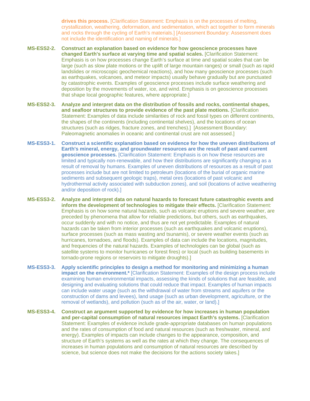**drives this process.** [Clarification Statement: Emphasis is on the processes of melting, crystallization, weathering, deformation, and sedimentation, which act together to form minerals and rocks through the cycling of Earth's materials.] [Assessment Boundary: Assessment does not include the identification and naming of minerals.]

- **MS-ESS2-2. Construct an explanation based on evidence for how geoscience processes have changed Earth's surface at varying time and spatial scales.** [Clarification Statement: Emphasis is on how processes change Earth's surface at time and spatial scales that can be large (such as slow plate motions or the uplift of large mountain ranges) or small (such as rapid landslides or microscopic geochemical reactions), and how many geoscience processes (such as earthquakes, volcanoes, and meteor impacts) usually behave gradually but are punctuated by catastrophic events. Examples of geoscience processes include surface weathering and deposition by the movements of water, ice, and wind. Emphasis is on geoscience processes that shape local geographic features, where appropriate.]
- **MS-ESS2-3. Analyze and interpret data on the distribution of fossils and rocks, continental shapes, and seafloor structures to provide evidence of the past plate motions.** [Clarification Statement: Examples of data include similarities of rock and fossil types on different continents, the shapes of the continents (including continental shelves), and the locations of ocean structures (such as ridges, fracture zones, and trenches).] [Assessment Boundary: Paleomagnetic anomalies in oceanic and continental crust are not assessed.]
- **MS-ESS3-1. Construct a scientific explanation based on evidence for how the uneven distributions of Earth's mineral, energy, and groundwater resources are the result of past and current geoscience processes.** [Clarification Statement: Emphasis is on how these resources are limited and typically non-renewable, and how their distributions are significantly changing as a result of removal by humans. Examples of uneven distributions of resources as a result of past processes include but are not limited to petroleum (locations of the burial of organic marine sediments and subsequent geologic traps), metal ores (locations of past volcanic and hydrothermal activity associated with subduction zones), and soil (locations of active weathering and/or deposition of rock).]
- **MS-ESS3-2. Analyze and interpret data on natural hazards to forecast future catastrophic events and inform the development of technologies to mitigate their effects. [Clarification Statement:** Emphasis is on how some natural hazards, such as volcanic eruptions and severe weather, are preceded by phenomena that allow for reliable predictions, but others, such as earthquakes, occur suddenly and with no notice, and thus are not yet predictable. Examples of natural hazards can be taken from interior processes (such as earthquakes and volcanic eruptions), surface processes (such as mass wasting and tsunamis), or severe weather events (such as hurricanes, tornadoes, and floods). Examples of data can include the locations, magnitudes, and frequencies of the natural hazards. Examples of technologies can be global (such as satellite systems to monitor hurricanes or forest fires) or local (such as building basements in tornado-prone regions or reservoirs to mitigate droughts).]
- **MS-ESS3-3. Apply scientific principles to design a method for monitoring and minimizing a human impact on the environment.\*** [Clarification Statement: Examples of the design process include examining human environmental impacts, assessing the kinds of solutions that are feasible, and designing and evaluating solutions that could reduce that impact. Examples of human impacts can include water usage (such as the withdrawal of water from streams and aquifers or the construction of dams and levees), land usage (such as urban development, agriculture, or the removal of wetlands), and pollution (such as of the air, water, or land).]
- **MS-ESS3-4. Construct an argument supported by evidence for how increases in human population and per-capital consumption of natural resources impact Earth's systems.** [Clarification Statement: Examples of evidence include grade-appropriate databases on human populations and the rates of consumption of food and natural resources (such as freshwater, mineral, and energy). Examples of impacts can include changes to the appearance, composition, and structure of Earth's systems as well as the rates at which they change. The consequences of increases in human populations and consumption of natural resources are described by science, but science does not make the decisions for the actions society takes.]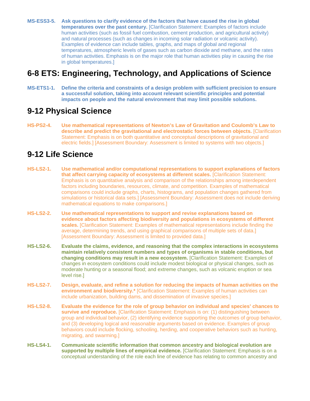**MS-ESS3-5. Ask questions to clarify evidence of the factors that have caused the rise in global temperatures over the past century.** [Clarification Statement: Examples of factors include human activities (such as fossil fuel combustion, cement production, and agricultural activity) and natural processes (such as changes in incoming solar radiation or volcanic activity). Examples of evidence can include tables, graphs, and maps of global and regional temperatures, atmospheric levels of gases such as carbon dioxide and methane, and the rates of human activities. Emphasis is on the major role that human activities play in causing the rise in global temperatures.]

#### **6-8 ETS: Engineering, Technology, and Applications of Science**

**MS-ETS1-1. Define the criteria and constraints of a design problem with sufficient precision to ensure a successful solution, taking into account relevant scientific principles and potential impacts on people and the natural environment that may limit possible solutions.** 

#### **9-12 Physical Science**

**HS-PS2-4. Use mathematical representations of Newton's Law of Gravitation and Coulomb's Law to describe and predict the gravitational and electrostatic forces between objects.** [Clarification Statement: Emphasis is on both quantitative and conceptual descriptions of gravitational and electric fields.] [Assessment Boundary: Assessment is limited to systems with two objects.]

#### **9-12 Life Science**

- **HS-LS2-1. Use mathematical and/or computational representations to support explanations of factors that affect carrying capacity of ecosystems at different scales.** [Clarification Statement: Emphasis is on quantitative analysis and comparison of the relationships among interdependent factors including boundaries, resources, climate, and competition. Examples of mathematical comparisons could include graphs, charts, histograms, and population changes gathered from simulations or historical data sets.] [Assessment Boundary: Assessment does not include deriving mathematical equations to make comparisons.]
- **HS-LS2-2. Use mathematical representations to support and revise explanations based on evidence about factors affecting biodiversity and populations in ecosystems of different scales.** [Clarification Statement: Examples of mathematical representations include finding the average, determining trends, and using graphical comparisons of multiple sets of data.] [Assessment Boundary: Assessment is limited to provided data.]
- **HS-LS2-6. Evaluate the claims, evidence, and reasoning that the complex interactions in ecosystems maintain relatively consistent numbers and types of organisms in stable conditions, but changing conditions may result in a new ecosystem.** [Clarification Statement: Examples of changes in ecosystem conditions could include modest biological or physical changes, such as moderate hunting or a seasonal flood; and extreme changes, such as volcanic eruption or sea level rise.]
- **HS-LS2-7. Design, evaluate, and refine a solution for reducing the impacts of human activities on the environment and biodiversity.\*** [Clarification Statement: Examples of human activities can include urbanization, building dams, and dissemination of invasive species.]
- **HS-LS2-8. Evaluate the evidence for the role of group behavior on individual and species' chances to survive and reproduce.** [Clarification Statement: Emphasis is on: (1) distinguishing between group and individual behavior, (2) identifying evidence supporting the outcomes of group behavior, and (3) developing logical and reasonable arguments based on evidence. Examples of group behaviors could include flocking, schooling, herding, and cooperative behaviors such as hunting, migrating, and swarming.]
- **HS-LS4-1. Communicate scientific information that common ancestry and biological evolution are supported by multiple lines of empirical evidence.** [Clarification Statement: Emphasis is on a conceptual understanding of the role each line of evidence has relating to common ancestry and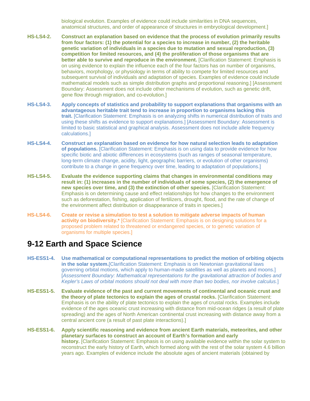biological evolution. Examples of evidence could include similarities in DNA sequences, anatomical structures, and order of appearance of structures in embryological development.]

- **HS-LS4-2. Construct an explanation based on evidence that the process of evolution primarily results from four factors: (1) the potential for a species to increase in number, (2) the heritable genetic variation of individuals in a species due to mutation and sexual reproduction, (3) competition for limited resources, and (4) the proliferation of those organisms that are better able to survive and reproduce in the environment.** [Clarification Statement: Emphasis is on using evidence to explain the influence each of the four factors has on number of organisms, behaviors, morphology, or physiology in terms of ability to compete for limited resources and subsequent survival of individuals and adaptation of species. Examples of evidence could include mathematical models such as simple distribution graphs and proportional reasoning.] [Assessment Boundary: Assessment does not include other mechanisms of evolution, such as genetic drift, gene flow through migration, and co-evolution.]
- **HS-LS4-3. Apply concepts of statistics and probability to support explanations that organisms with an advantageous heritable trait tend to increase in proportion to organisms lacking this trait.** [Clarification Statement: Emphasis is on analyzing shifts in numerical distribution of traits and using these shifts as evidence to support explanations.] [Assessment Boundary: Assessment is limited to basic statistical and graphical analysis. Assessment does not include allele frequency calculations.]
- **HS-LS4-4. Construct an explanation based on evidence for how natural selection leads to adaptation of populations.** [Clarification Statement: Emphasis is on using data to provide evidence for how specific biotic and abiotic differences in ecosystems (such as ranges of seasonal temperature, long-term climate change, acidity, light, geographic barriers, or evolution of other organisms) contribute to a change in gene frequency over time, leading to adaptation of populations.]
- **HS-LS4-5. Evaluate the evidence supporting claims that changes in environmental conditions may result in: (1) increases in the number of individuals of some species, (2) the emergence of new species over time, and (3) the extinction of other species.** [Clarification Statement: Emphasis is on determining cause and effect relationships for how changes to the environment such as deforestation, fishing, application of fertilizers, drought, flood, and the rate of change of the environment affect distribution or disappearance of traits in species.]
- **HS-LS4-6. Create or revise a simulation to test a solution to mitigate adverse impacts of human activity on biodiversity.\*** [Clarification Statement: Emphasis is on designing solutions for a proposed problem related to threatened or endangered species, or to genetic variation of organisms for multiple species.]

#### **9-12 Earth and Space Science**

- **HS-ESS1-4. Use mathematical or computational representations to predict the motion of orbiting objects in the solar system.**[Clarification Statement: Emphasis is on Newtonian gravitational laws governing orbital motions, which apply to human-made satellites as well as planets and moons.] [*Assessment Boundary: Mathematical representations for the gravitational attraction of bodies and Kepler's Laws of orbital motions should not deal with more than two bodies, nor involve calculus.*]
- **HS-ESS1-5. Evaluate evidence of the past and current movements of continental and oceanic crust and the theory of plate tectonics to explain the ages of crustal rocks.** [Clarification Statement: Emphasis is on the ability of plate tectonics to explain the ages of crustal rocks. Examples include evidence of the ages oceanic crust increasing with distance from mid-ocean ridges (a result of plate spreading) and the ages of North American continental crust increasing with distance away from a central ancient core (a result of past plate interactions).]
- **HS-ESS1-6. Apply scientific reasoning and evidence from ancient Earth materials, meteorites, and other planetary surfaces to construct an account of Earth's formation and early history.** [Clarification Statement: Emphasis is on using available evidence within the solar system to reconstruct the early history of Earth, which formed along with the rest of the solar system 4.6 billion years ago. Examples of evidence include the absolute ages of ancient materials (obtained by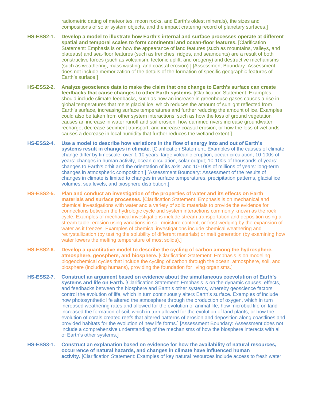radiometric dating of meteorites, moon rocks, and Earth's oldest minerals), the sizes and compositions of solar system objects, and the impact cratering record of planetary surfaces.]

- **HS-ESS2-1. Develop a model to illustrate how Earth's internal and surface processes operate at different spatial and temporal scales to form continental and ocean-floor features.** [Clarification Statement: Emphasis is on how the appearance of land features (such as mountains, valleys, and plateaus) and sea-floor features (such as trenches, ridges, and seamounts) are a result of both constructive forces (such as volcanism, tectonic uplift, and orogeny) and destructive mechanisms (such as weathering, mass wasting, and coastal erosion).] [Assessment Boundary: Assessment does not include memorization of the details of the formation of specific geographic features of Earth's surface.]
- **HS-ESS2-2. Analyze geoscience data to make the claim that one change to Earth's surface can create feedbacks that cause changes to other Earth systems.** [Clarification Statement: Examples should include climate feedbacks, such as how an increase in greenhouse gases causes a rise in global temperatures that melts glacial ice, which reduces the amount of sunlight reflected from Earth's surface, increasing surface temperatures and further reducing the amount of ice. Examples could also be taken from other system interactions, such as how the loss of ground vegetation causes an increase in water runoff and soil erosion; how dammed rivers increase groundwater recharge, decrease sediment transport, and increase coastal erosion; or how the loss of wetlands causes a decrease in local humidity that further reduces the wetland extent.]
- **HS-ESS2-4. Use a model to describe how variations in the flow of energy into and out of Earth's systems result in changes in climate.** [Clarification Statement: Examples of the causes of climate change differ by timescale, over 1-10 years: large volcanic eruption, ocean circulation; 10-100s of years: changes in human activity, ocean circulation, solar output; 10-100s of thousands of years: changes to Earth's orbit and the orientation of its axis; and 10-100s of millions of years: long-term changes in atmospheric composition.] [Assessment Boundary: Assessment of the results of changes in climate is limited to changes in surface temperatures, precipitation patterns, glacial ice volumes, sea levels, and biosphere distribution.]
- **HS-ESS2-5. Plan and conduct an investigation of the properties of water and its effects on Earth materials and surface processes.** [Clarification Statement: Emphasis is on mechanical and chemical investigations with water and a variety of solid materials to provide the evidence for connections between the hydrologic cycle and system interactions commonly known as the rock cycle. Examples of mechanical investigations include stream transportation and deposition using a stream table, erosion using variations in soil moisture content, or frost wedging by the expansion of water as it freezes. Examples of chemical investigations include chemical weathering and recrystallization (by testing the solubility of different materials) or melt generation (by examining how water lowers the melting temperature of most solids).]
- **HS-ESS2-6. Develop a quantitative model to describe the cycling of carbon among the hydrosphere, atmosphere, geosphere, and biosphere.** [Clarification Statement: Emphasis is on modeling biogeochemical cycles that include the cycling of carbon through the ocean, atmosphere, soil, and biosphere (including humans), providing the foundation for living organisms.]
- **HS-ESS2-7. Construct an argument based on evidence about the simultaneous coevolution of Earth's systems and life on Earth.** [Clarification Statement: Emphasis is on the dynamic causes, effects, and feedbacks between the biosphere and Earth's other systems, whereby geoscience factors control the evolution of life, which in turn continuously alters Earth's surface. Examples of include how photosynthetic life altered the atmosphere through the production of oxygen, which in turn increased weathering rates and allowed for the evolution of animal life; how microbial life on land increased the formation of soil, which in turn allowed for the evolution of land plants; or how the evolution of corals created reefs that altered patterns of erosion and deposition along coastlines and provided habitats for the evolution of new life forms.] [Assessment Boundary: Assessment does not include a comprehensive understanding of the mechanisms of how the biosphere interacts with all of Earth's other systems.]
- **HS-ESS3-1. Construct an explanation based on evidence for how the availability of natural resources, occurrence of natural hazards, and changes in climate have influenced human activity.** [Clarification Statement: Examples of key natural resources include access to fresh water